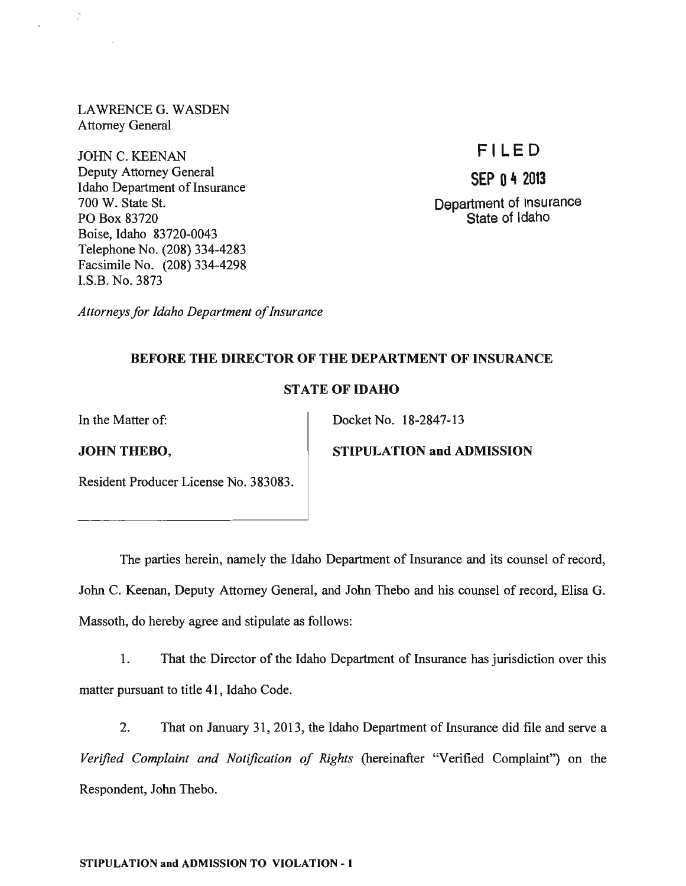LA WRENCE G. WASDEN Attorney General

JOHN C. KEENAN Deputy Attorney General Idaho Department of Insurance 700 W. State St. PO Box 83720 Boise, Idaho 83720-0043 Telephone No. (208) 334-4283 Facsimile No. (208) 334-4298 I.S.B. No. 3873

# FI LED

SEP  $n + 2013$ 

Department of Insurance State of Idaho

*Attorneys for Idaho Department of Insurance* 

## BEFORE THE DIRECTOR OF THE DEPARTMENT OF INSURANCE

## STATE OF IDAHO

In the Matter of:  $\qquad \qquad$  Docket No. 18-2847-13

JOHN THEBO, STIPULATION and ADMISSION

Resident Producer License No. 383083.

The parties herein, namely the Idaho Department of Insurance and its counsel of record, John C. Keenan, Deputy Attorney General, and John Thebo and his counsel of record, Elisa G. Massoth, do hereby agree and stipulate as follows:

1. That the Director of the Idaho Department of Insurance has jurisdiction over this matter pursuant to title 41, Idaho Code.

2. That on January 31, 2013, the Idaho Department of Insurance did file and serve a *Verified Complaint and Notification of Rights* (hereinafter "Verified Complaint") on the Respondent, John Thebo.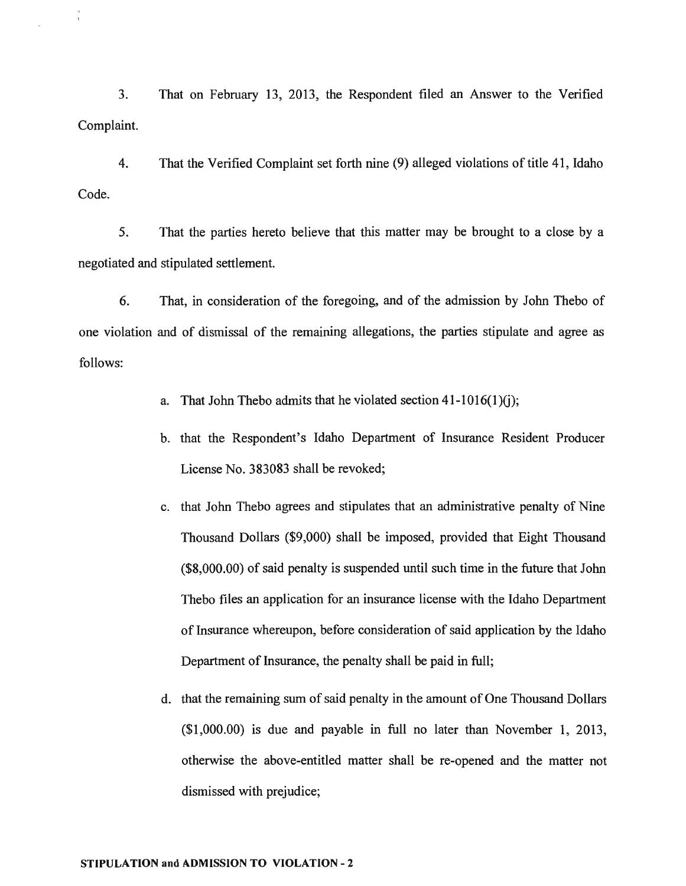3. That on February 13, 2013, the Respondent filed an Answer to the Verified Complaint.

4. That the Verified Complaint set forth nine (9) alleged violations of title 41, Idaho Code.

5. That the parties hereto believe that this matter may be brought to a close by a negotiated and stipulated settlement.

6. That, in consideration of the foregoing, and of the admission by John Thebo of one violation and of dismissal of the remaining allegations, the parties stipulate and agree as follows:

- a. That John Thebo admits that he violated section  $41-1016(1)(i)$ ;
- b. that the Respondent's Idaho Department of Insurance Resident Producer License No. 383083 shall be revoked;
- c. that John Thebo agrees and stipulates that an administrative penalty of Nine Thousand Dollars (\$9,000) shall be imposed, provided that Eight Thousand (\$8,000.00) of said penalty is suspended until such time in the future that John Thebo files an application for an insurance license with the Idaho Department of Insurance whereupon, before consideration of said application by the Idaho Department of Insurance, the penalty shall be paid in full;
- d. that the remaining sum of said penalty in the amount of One Thousand Dollars (\$1,000.00) is due and payable in full no later than November 1, 2013, otherwise the above-entitled matter shall be re-opened and the matter not dismissed with prejudice;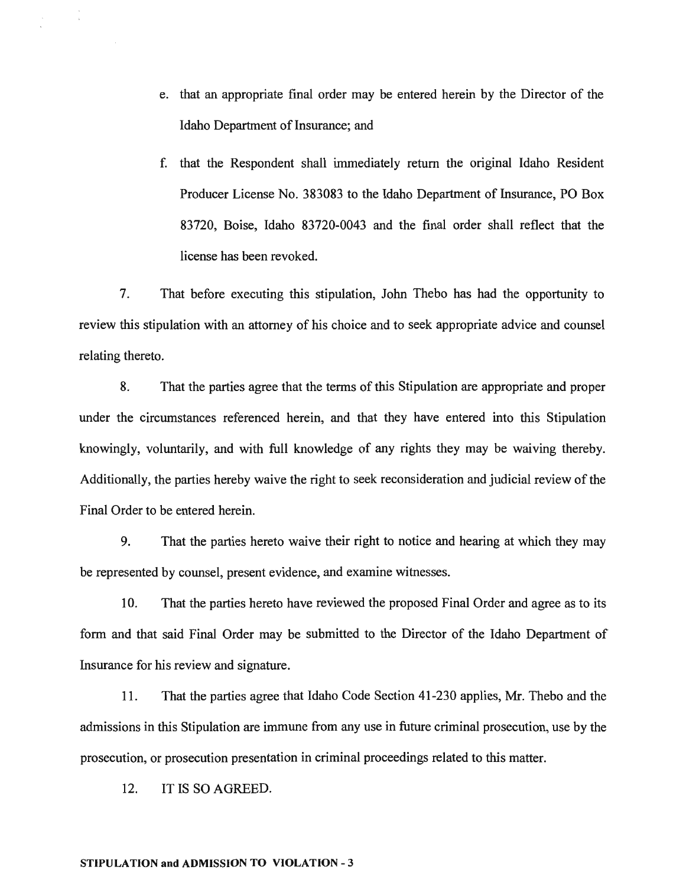- e. that an appropriate final order may be entered herein by the Director of the Idaho Department of Insurance; and
- f. that the Respondent shall immediately return the original Idaho Resident Producer License No. 383083 to the Idaho Department of Insurance, PO Box 83720, Boise, Idaho 83720-0043 and the final order shall reflect that the license has been revoked.

7. That before executing this stipulation, John Thebo has had the opportunity to review this stipulation with an attorney of his choice and to seek appropriate advice and counsel relating thereto.

8. That the parties agree that the terms of this Stipulation are appropriate and proper under the circumstances referenced herein, and that they have entered into this Stipulation knowingly, voluntarily, and with full knowledge of any rights they may be waiving thereby. Additionally, the parties hereby waive the right to seek reconsideration and judicial review of the Final Order to be entered herein.

9. That the parties hereto waive their right to notice and hearing at which they may be represented by counsel, present evidence, and examine witnesses.

10. That the parties hereto have reviewed the proposed Final Order and agree as to its form and that said Final Order may be submitted to the Director of the Idaho Department of Insurance for his review and signature.

11. That the parties agree that Idaho Code Section 41-230 applies, Mr. Thebo and the admissions in this Stipulation are immune from any use in future criminal prosecution, use by the prosecution, or prosecution presentation in criminal proceedings related to this matter.

12. IT IS SO AGREED.

#### STIPULA TION and ADMISSION TO VIOLATION - 3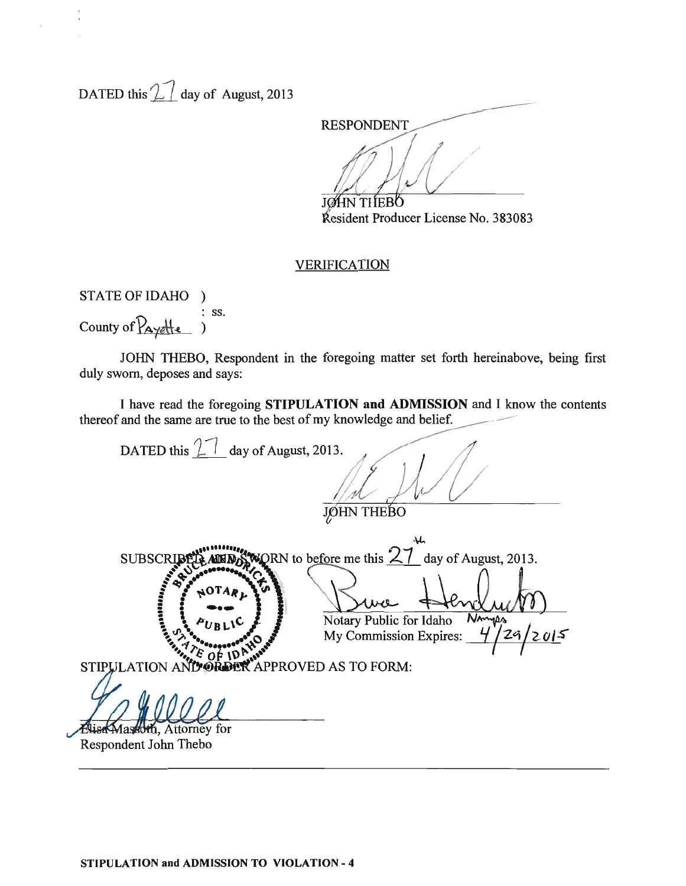DATED this  $\mathcal{L}$  day of August, 2013

**RESPONDENT JOHN THEBO** 

Kesident Producer License No. 383083

#### VERIFICATION

STATE OF IDAHO ) County of  $\overline{P_{\text{Aye}}+e}$  : ss.

JOHN THEBO, Respondent in the foregoing matter set forth hereinabove, being first duly sworn, deposes and says:

I have read the foregoing STIPULATION and ADMISSION and I know the contents thereof and the same are true to the best of my knowledge and belief.

DATED this  $\boxed{1}$  day of August, 2013. **JØHN THEBO** SUBSCRIBELAMENT WORN to before me this  $27$  day of August, 2013. .:~ .: .. .t!i...~ *... /r* ... - ... ~~ "I-. i : ~OTA~,. (Ja **:**  $\frac{1}{2}$  :  $\frac{1}{2}$   $\frac{1}{2}$   $\frac{1}{2}$   $\frac{1}{2}$   $\frac{1}{2}$   $\frac{1}{2}$   $\frac{1}{2}$   $\frac{1}{2}$   $\frac{1}{2}$   $\frac{1}{2}$   $\frac{1}{2}$   $\frac{1}{2}$   $\frac{1}{2}$   $\frac{1}{2}$   $\frac{1}{2}$   $\frac{1}{2}$   $\frac{1}{2}$   $\frac{1}{2}$   $\frac{1}{2}$   $\frac{1}{2}$   $\frac{1}{$  $\left\{ \begin{array}{c} \bullet \bullet \\ \bullet_{UBL1} \text{C} \end{array} \right\}$  Notary Public for Idaho  $\frac{\text{Now}(U/V)}{\text{Now}}$ Ny Commission Expires: 4/29/2015 ### *"1l'b* ••• ,... ...~ 116\* I I  $\mathcal{L}$   $\mathcal{L}$   $\mathcal{O}$   $\uparrow$   $\mathcal{O}$   $\mathcal{L}$  ...  $\mathcal{L}$ LATION AN**D ORDER** APPROVED AS TO FORM: .n::.~~:--Wl~lJ(ll, Attorney for

Respondent John Thebo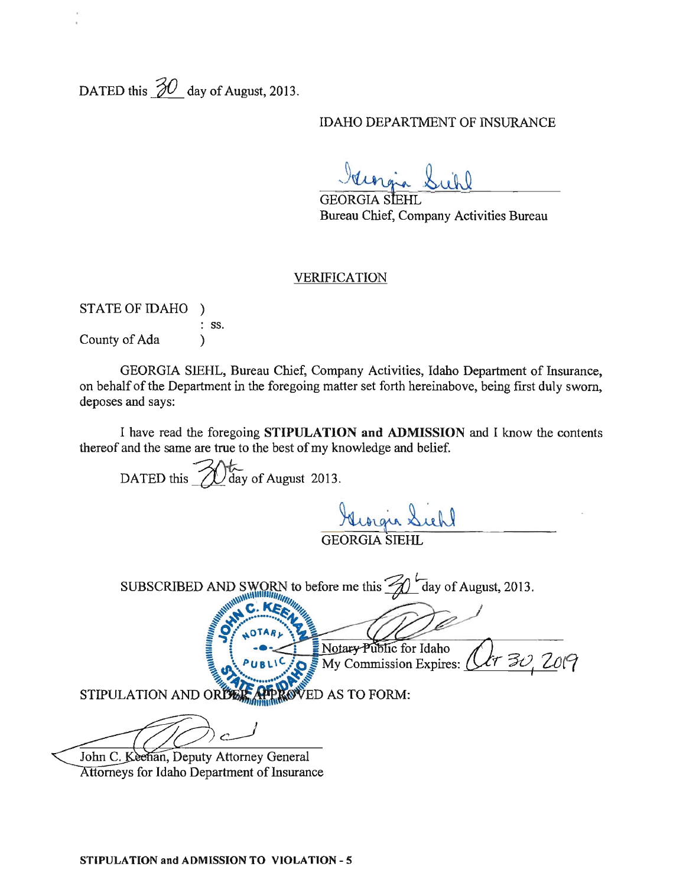DATED this  $\frac{30}{}$  day of August, 2013.

### IDAHO DEPARTMENT OF INSURANCE

Georgia Sichl

GEORGIA STEHL Bureau Chief, Company Activities Bureau

#### VERIFICATION

| <b>STATE OF IDAHO</b> |                  |
|-----------------------|------------------|
|                       | $\therefore$ SS. |
| County of Ada         |                  |

GEORGIA SIEHL, Bureau Chief, Company Activities, Idaho Department of Insurance, on behalf of the Department in the foregoing matter set forth hereinabove, being first duly sworn, deposes and says:

I have read the foregoing **STIPULATION and ADMISSION** and I know the contents thereof and the same are true to the best of my knowledge and belief.

DATED this  $\bigotimes$  day of August 2013. wigis Sichl GEORGIA SIEHL SUBSCRIBED AND SWORN to before me this  $\mathcal{U}$  day of August, 2013. AND SWORN to before me this  $\frac{1}{\sqrt{2}}$  day of August, 2013.  $\frac{1}{2}$  My Commission Expires: (  $STIPULATION AND OR THE APPROVED AS TO FORM:$ 

John C. Keenan, Deputy Attorney General Attorneys for Idaho Department of Insurance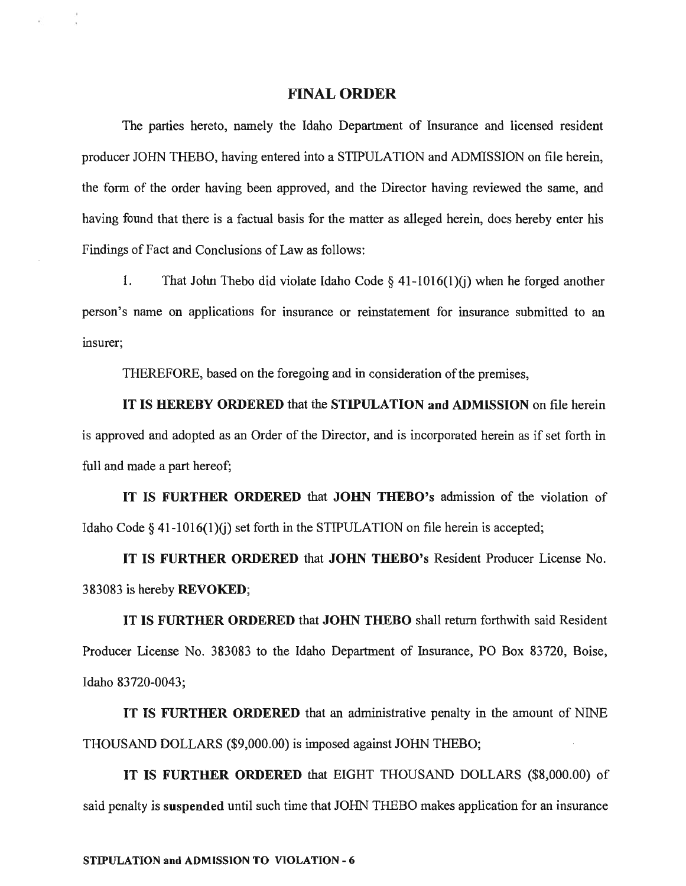#### FINAL ORDER

The parties hereto, namely the Idaho Department of Insurance and licensed resident producer JOHN THEBO, having entered into a STIPULATION and ADMISSION on file herein, the fonn of the order having been approved, and the Director having reviewed the same, and having found that there is a factual basis for the matter as alleged herein, does hereby enter his Findings of Fact and Conclusions of Law as follows:

1. That John Thebo did violate Idaho Code  $\S$  41-1016(1)(j) when he forged another person's name on applications for insurance or reinstatement for insurance submitted to an insurer;

THEREFORE, based on the foregoing and in consideration of the premises,

IT IS HEREBY ORDERED that the STIPULATION and ADMISSION on flle herein is approved and adopted as an Order of the Director, and is incorporated herein as if set forth in full and made a part hereof;

IT IS FURTHER ORDERED that JOHN THEBO's admission of the violation of Idaho Code  $\S$  41-1016(1)(i) set forth in the STIPULATION on file herein is accepted;

IT IS FURTHER ORDERED that JOHN THEBO's Resident Producer License No. 383083 is hereby REVOKED;

IT IS FURTHER ORDERED that JOHN THEBO shall return forthwith said Resident Producer License No. 383083 to the Idaho Department of Insurance, PO Box 83720, Boise, Idaho 83720-0043;

IT IS FURTHER ORDERED that an administrative penalty in the amount of NlNE THOUSAND DOLLARS (\$9,000.00) is imposed against JOHN THEBO;

IT IS FURTHER ORDERED that EIGHT THOUSAND DOLLARS (\$8,000.00) of said penalty is suspended until such time that JOHN THEBO makes application for an insurance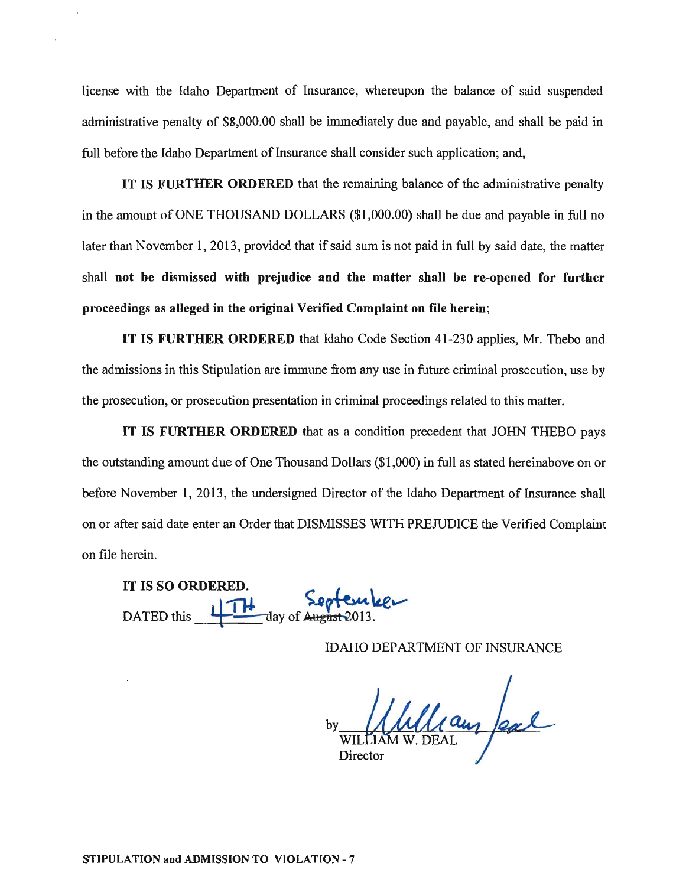license with the Idaho Department of Insurance, whereupon the balance of said suspended administrative penalty of \$8,000.00 shall be immediately due and payable, and shall be paid in full before the Idaho Department of Insurance shall consider such application; and,

IT IS FURTHER ORDERED that the remaining balance of the administrative penalty in the amount of ONE THOUSAND DOLLARS (\$1,000.00) shall be due and payable in full no later than November 1, 2013, provided that if said sum is not paid in full by said date, the matter shall not be dismissed with prejudice and the matter shall be re-opened for further proceedings as alleged in the original Verified Complaint on file herein;

IT IS FURTHER ORDERED that Idaho Code Section 41-230 applies, Mr. Thebo and the admissions in this Stipulation are immune from any use in future criminal prosecution, use by the prosecution, or prosecution presentation in criminal proceedings related to this matter.

IT IS FURTHER ORDERED that as a condition precedent that JOHN THEBO pays the outstanding amount due of One Thousand Dollars (\$1,000) in full as stated hereinabove on or before November 1, 2013, the undersigned Director of the Idaho Department of Insurance shall on or after said date enter an Order that DISMISSES WITH PREJUDICE the Verified Complaint on file herein.

IT IS SO ORDERED. DATED this 11 TH day of August 2013.

IDAHO DEPARTMENT OF INSURANCE

by  $M$   $M$   $Q$   $Q$ Director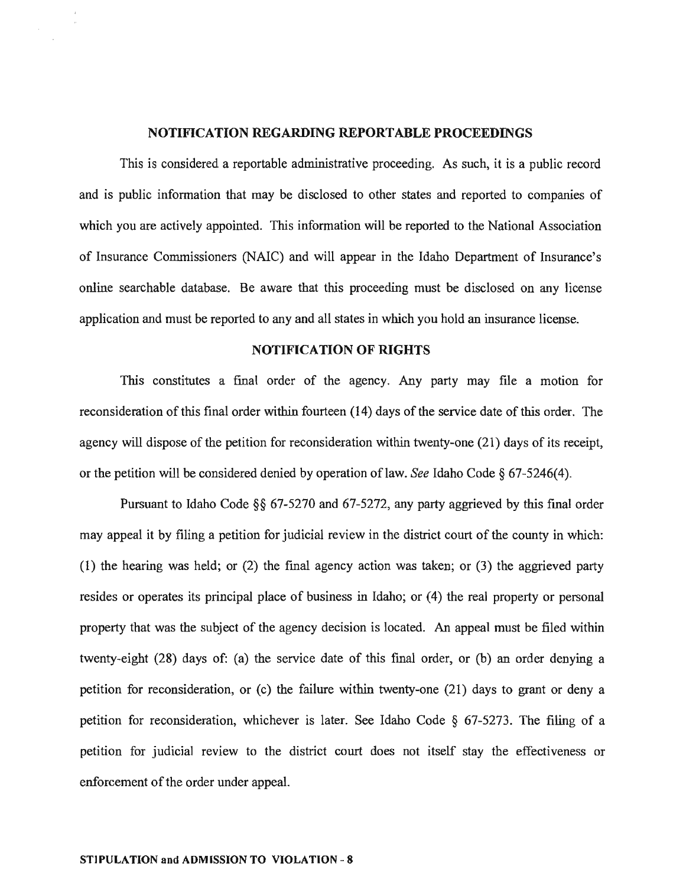#### **NOTIFICATION REGARDING REPORT ABLE PROCEEDINGS**

This is considered a reportable administrative proceeding. As such, it is a public record and is public infonnation that may be disclosed to other states and reported to companies of which you are actively appointed. This information will be reported to the National Association of Insurance Commissioners (NAlC) and will appear in the Idaho Department of Insurance's online searchable database. Be aware that this proceeding must be disclosed on any license application and must be reported to any and all states in which you hold an insurance license.

### **NOTIFICATION OF RIGHTS**

This constitutes a final order of the agency. Any party may file a motion for reconsideration of this final order within fourteen (14) days of the service date of this order. The agency will dispose of the petition for reconsideration within twenty-one (21) days of its receipt, or the petition will be considered denied by operation oflaw. *See* Idaho Code § 67-5246(4).

Pursuant to Idaho Code §§ 67-5270 and 67-5272, any party aggrieved by this fmal order may appeal it by filing a petition for judicial review in the district court of the county in which: (1) the hearing was held; or (2) the fmal agency action was taken; or (3) the aggrieved party resides or operates its principal place of business in Idaho; or (4) the real property or personal property that was the subject of the agency decision is located. An appeal must be filed within twenty-eight (28) days of: (a) the service date of this fmal order, or (b) an order denying a petition for reconsideration, or (c) the failure within twenty-one (21) days to grant or deny a petition for reconsideration, whichever is later. See Idaho Code § 67-5273. The filing of a petition for judicial review to the district court does not itself stay the effectiveness or enforcement of the order under appeal.